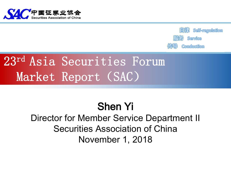



## 23rd Asia Securities Forum Market Report (SAC)

## Shen Yi

Director for Member Service Department II Securities Association of China November 1, 2018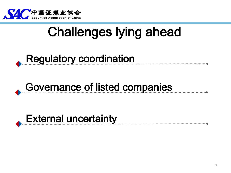

# Challenges lying ahead



## Governance of listed companies

### **External uncertainty**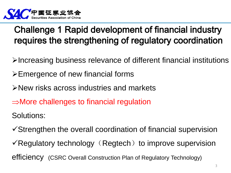

#### Challenge 1 Rapid development of financial industry requires the strengthening of regulatory coordination

- Increasing business relevance of different financial institutions
- Emergence of new financial forms
- New risks across industries and markets
- $\Rightarrow$ More challenges to financial regulation

Solutions:

- Strengthen the overall coordination of financial supervision
- $\checkmark$  Regulatory technology (Regtech) to improve supervision efficiency (CSRC Overall Construction Plan of Regulatory Technology)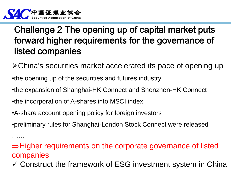

……

#### Challenge 2 The opening up of capital market puts forward higher requirements for the governance of listed companies

- China's securities market accelerated its pace of opening up
- •the opening up of the securities and futures industry
- •the expansion of Shanghai-HK Connect and Shenzhen-HK Connect
- •the incorporation of A-shares into MSCI index
- •A-share account opening policy for foreign investors
- •preliminary rules for Shanghai-London Stock Connect were released

#### $\Rightarrow$ Higher requirements on the corporate governance of listed companies

 $\checkmark$  Construct the framework of ESG investment system in China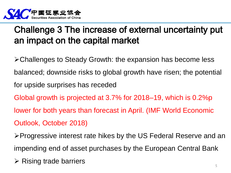

#### Challenge 3 The increase of external uncertainty put an impact on the capital market

- Challenges to Steady Growth: the expansion has become less balanced; downside risks to global growth have risen; the potential for upside surprises has receded
- Global growth is projected at 3.7% for 2018–19, which is 0.2%p
- lower for both years than forecast in April. (IMF World Economic
- Outlook, October 2018)
- Progressive interest rate hikes by the US Federal Reserve and an impending end of asset purchases by the European Central Bank
- $\triangleright$  Rising trade barriers